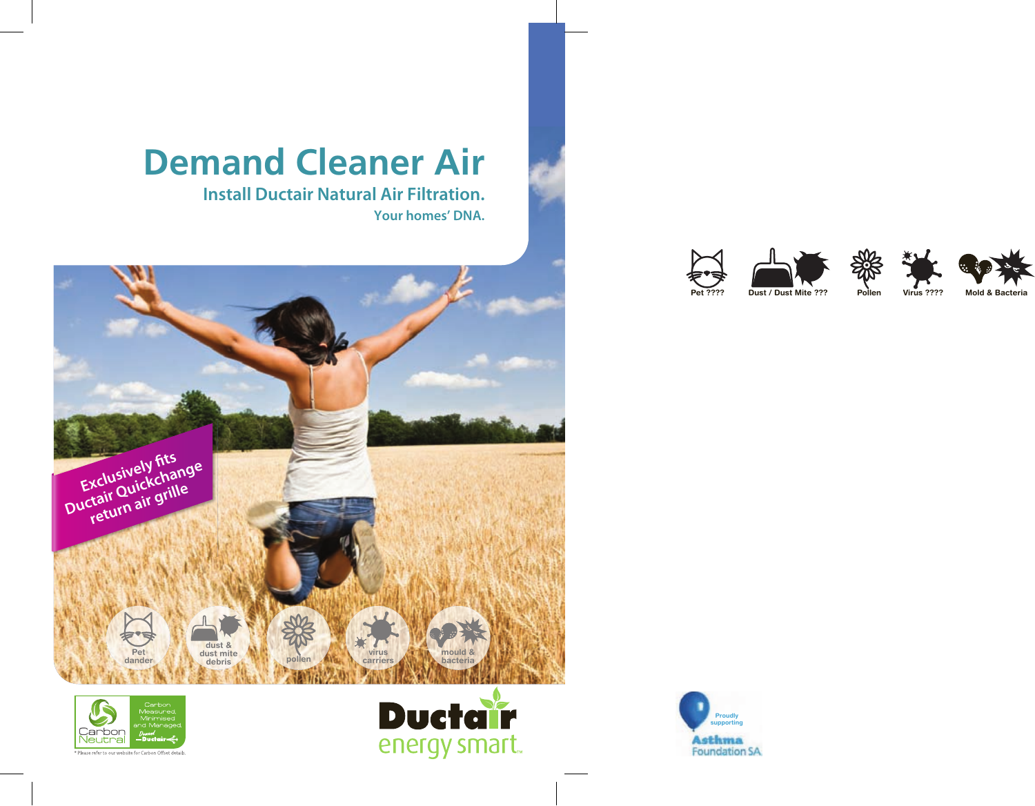# **Demand Cleaner Air**

**Install Ductair Natural Air Filtration.** 

**Your homes' DNA.** 







Please refer to our website for Carbon Offset details